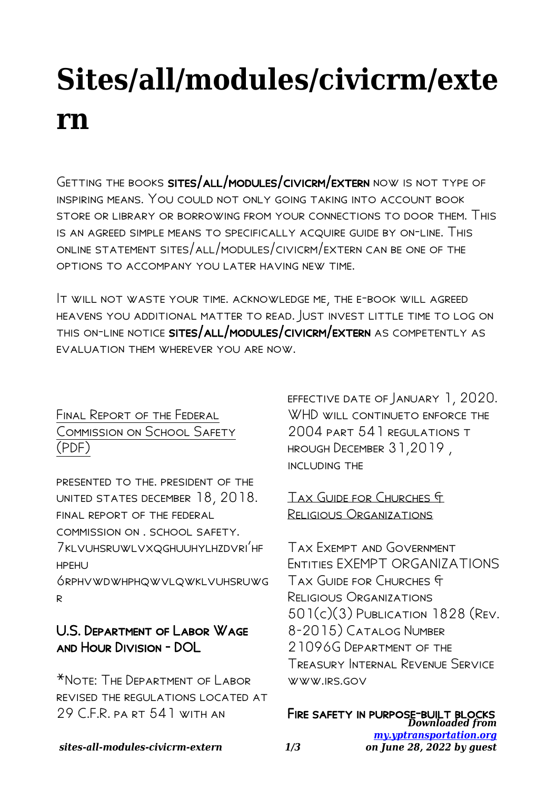# **Sites/all/modules/civicrm/exte rn**

Getting the books sites/all/modules/civicrm/extern now is not type of inspiring means. You could not only going taking into account book store or library or borrowing from your connections to door them. This is an agreed simple means to specifically acquire guide by on-line. This online statement sites/all/modules/civicrm/extern can be one of the options to accompany you later having new time.

It will not waste your time. acknowledge me, the e-book will agreed heavens you additional matter to read. Just invest little time to log on this on-line notice sites/all/modules/civicrm/extern as competently as evaluation them wherever you are now.

## Final Report of the Federal Commission on School Safety (PDF)

presented to the. president of the united states december 18, 2018. final report of the federal commission on . school safety. 7klvuhsruwlvxqghuuhylhzdvri'hf hpehu

6rphvwdwhphqwvlqwklvuhsruwg r

# U.S. Department of Labor Wage and Hour Division - DOL

\*Note: The Department of Labor revised the regulations located at 29 C.F.R. pa rt 541 WITH AN

effective date of January 1, 2020. WHD WILL CONTINUETO ENFORCE THE 2004 part 541 regulations t hrough December 31,2019 , including the

#### Tax Guide for Churches & Religious Organizations

Tax Exempt and Government Entities EXEMPT ORGANIZATIONS Tax Guide for Churches & Religious Organizations 501(c)(3) Publication 1828 (Rev. 8-2015) Catalog Number 21096G Department of the Treasury Internal Revenue Service www.irs.gov

FIRE SAFETY IN PURPOSE-BUILT BLOCKS<br>*Downloaded from [my.yptransportation.org](http://my.yptransportation.org) on June 28, 2022 by guest*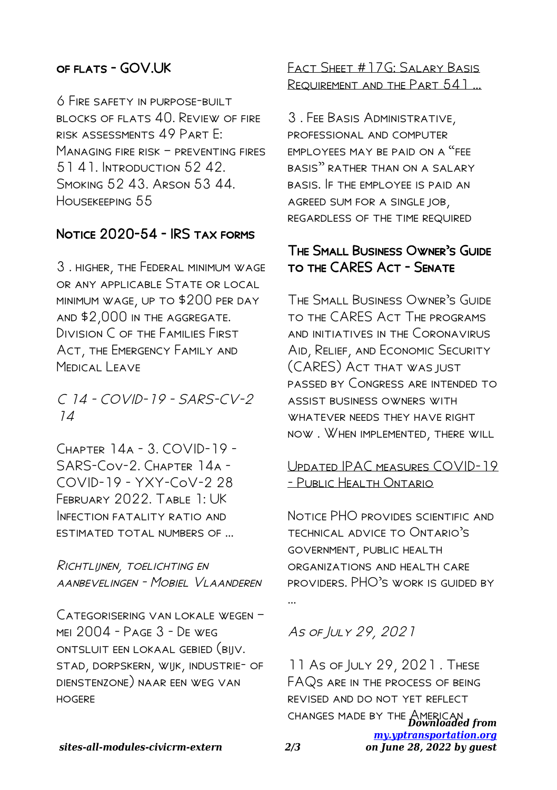#### of flats - GOV.UK

6 Fire safety in purpose-built blocks of flats 40. Review of fire risk assessments 49 Part E: Managing fire risk – preventing fires 51.41. INTRODUCTION 52.42 Smoking 52 43. Arson 53 44. Housekeeping 55

### Notice 2020-54 - IRS tax forms

3 . higher, the Federal minimum wage or any applicable State or local minimum wage, up to \$200 per day and \$2,000 in the aggregate. Division C of the Families First Act, the Emergency Family and Medical Leave

C 14 - COVID-19 - SARS-CV-2 14

 $C$ HAPTER  $14A - 3$   $CONID-19$  -SARS-Cov-2. Chapter 14a - COVID-19 - YXY-CoV-2 28 February 2022. Table 1: UK INFECTION FATALITY RATIO AND estimated total numbers of …

Richtlijnen, toelichting en aanbevelingen - Mobiel Vlaanderen

Categorisering van lokale wegen – mei 2004 - Page 3 - De weg ontsluit een lokaal gebied (bijv. stad, dorpskern, wijk, industrie- of dienstenzone) naar een weg van **HOGERE** 

Fact Sheet #17G: Salary Basis Requirement and the Part 541 …

3 . Fee Basis Administrative, professional and computer EMPI OYFES MAY BE PAID ON A "FFE basis" rather than on a salary basis. If the employee is paid an agreed sum for a single job, regardless of the time required

#### The Small Business Owner's Guide to the CARES Act - Senate

The Small Business Owner's Guide to the CARES Act The programs and initiatives in the Coronavirus Aid, Relief, and Economic Security (CARES) Act that was just passed by Congress are intended to assist business owners with WHATEVER NEEDS THEY HAVE RIGHT now . When implemented, there will

#### Updated IPAC measures COVID-19 - Public Health Ontario

Notice PHO provides scientific and technical advice to Ontario's government, public health organizations and health care providers. PHO's work is guided by

As of July 29, 2021

CHANGES MADE BY THE AMERICAN from *[my.yptransportation.org](http://my.yptransportation.org) on June 28, 2022 by guest* 11 As of July 29, 2021 . These FAQs are in the process of being revised and do not yet reflect